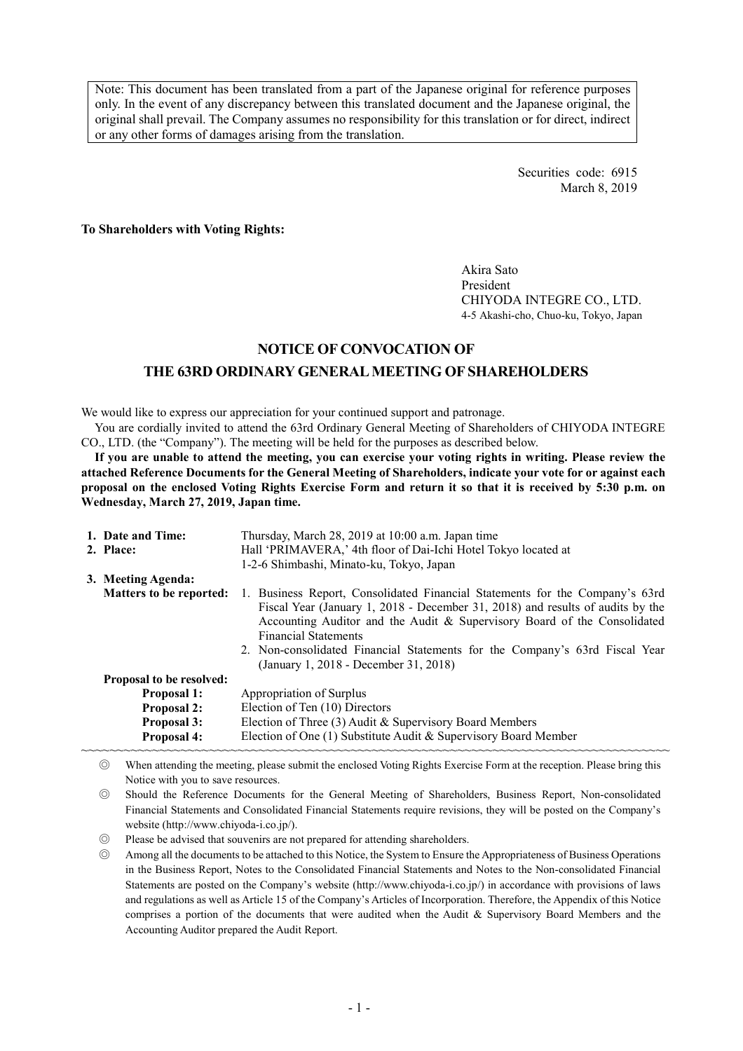Note: This document has been translated from a part of the Japanese original for reference purposes only. In the event of any discrepancy between this translated document and the Japanese original, the original shall prevail. The Company assumes no responsibility for this translation or for direct, indirect or any other forms of damages arising from the translation.

> Securities code: 6915 March 8, 2019

**To Shareholders with Voting Rights:** 

Akira Sato President CHIYODA INTEGRE CO., LTD. 4-5 Akashi-cho, Chuo-ku, Tokyo, Japan

## **NOTICE OF CONVOCATION OF**

## **THE 63RD ORDINARY GENERAL MEETING OF SHAREHOLDERS**

We would like to express our appreciation for your continued support and patronage.

You are cordially invited to attend the 63rd Ordinary General Meeting of Shareholders of CHIYODA INTEGRE CO., LTD. (the "Company"). The meeting will be held for the purposes as described below.

**If you are unable to attend the meeting, you can exercise your voting rights in writing. Please review the attached Reference Documents for the General Meeting of Shareholders, indicate your vote for or against each proposal on the enclosed Voting Rights Exercise Form and return it so that it is received by 5:30 p.m. on Wednesday, March 27, 2019, Japan time.** 

| 1. Date and Time:               | Thursday, March 28, 2019 at 10:00 a.m. Japan time                                                                                                                                                                                                                                                                                                                                                 |  |  |  |  |
|---------------------------------|---------------------------------------------------------------------------------------------------------------------------------------------------------------------------------------------------------------------------------------------------------------------------------------------------------------------------------------------------------------------------------------------------|--|--|--|--|
| 2. Place:                       | Hall 'PRIMAVERA,' 4th floor of Dai-Ichi Hotel Tokyo located at                                                                                                                                                                                                                                                                                                                                    |  |  |  |  |
|                                 | 1-2-6 Shimbashi, Minato-ku, Tokyo, Japan                                                                                                                                                                                                                                                                                                                                                          |  |  |  |  |
| 3. Meeting Agenda:              |                                                                                                                                                                                                                                                                                                                                                                                                   |  |  |  |  |
| <b>Matters to be reported:</b>  | 1. Business Report, Consolidated Financial Statements for the Company's 63rd<br>Fiscal Year (January 1, 2018 - December 31, 2018) and results of audits by the<br>Accounting Auditor and the Audit & Supervisory Board of the Consolidated<br><b>Financial Statements</b><br>2. Non-consolidated Financial Statements for the Company's 63rd Fiscal Year<br>(January 1, 2018 - December 31, 2018) |  |  |  |  |
| <b>Proposal to be resolved:</b> |                                                                                                                                                                                                                                                                                                                                                                                                   |  |  |  |  |
| <b>Proposal 1:</b>              | Appropriation of Surplus                                                                                                                                                                                                                                                                                                                                                                          |  |  |  |  |
| Proposal 2:                     | Election of Ten (10) Directors                                                                                                                                                                                                                                                                                                                                                                    |  |  |  |  |
| Proposal 3:                     | Election of Three (3) Audit & Supervisory Board Members                                                                                                                                                                                                                                                                                                                                           |  |  |  |  |
| Proposal 4:                     | Election of One (1) Substitute Audit & Supervisory Board Member                                                                                                                                                                                                                                                                                                                                   |  |  |  |  |
|                                 |                                                                                                                                                                                                                                                                                                                                                                                                   |  |  |  |  |

◎ When attending the meeting, please submit the enclosed Voting Rights Exercise Form at the reception. Please bring this Notice with you to save resources.

◎ Should the Reference Documents for the General Meeting of Shareholders, Business Report, Non-consolidated Financial Statements and Consolidated Financial Statements require revisions, they will be posted on the Company's website (http://www.chiyoda-i.co.jp/).

◎ Please be advised that souvenirs are not prepared for attending shareholders.

◎ Among all the documents to be attached to this Notice, the System to Ensure the Appropriateness of Business Operations in the Business Report, Notes to the Consolidated Financial Statements and Notes to the Non-consolidated Financial Statements are posted on the Company's website (http://www.chiyoda-i.co.jp/) in accordance with provisions of laws and regulations as well as Article 15 of the Company's Articles of Incorporation. Therefore, the Appendix of this Notice comprises a portion of the documents that were audited when the Audit & Supervisory Board Members and the Accounting Auditor prepared the Audit Report.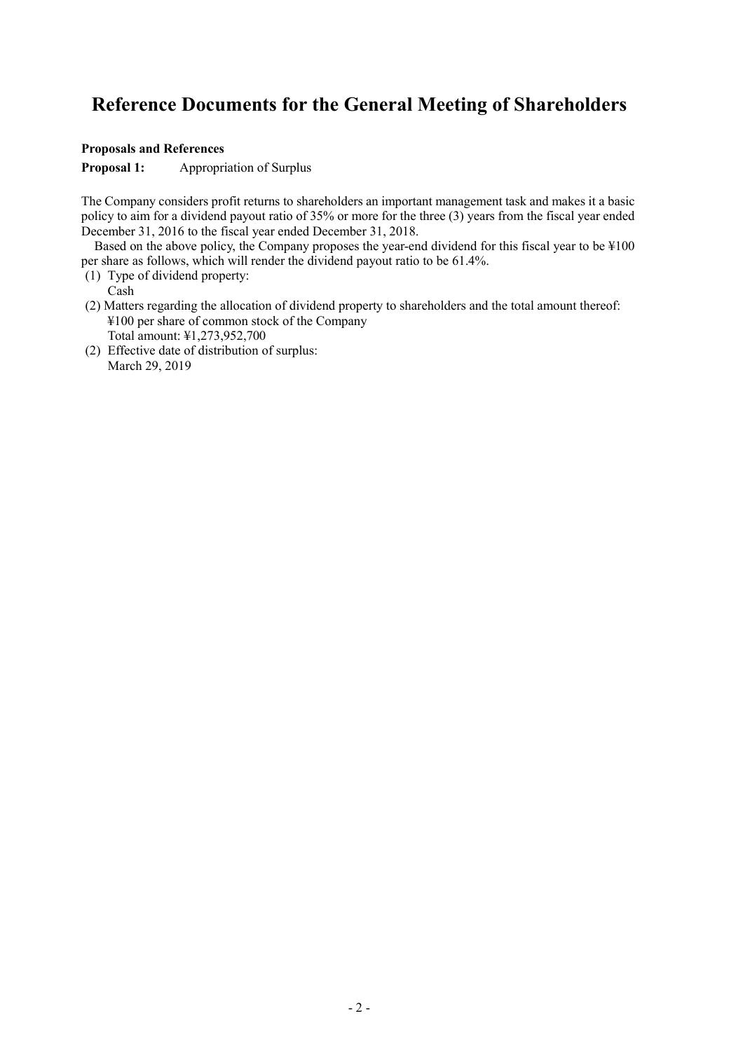# **Reference Documents for the General Meeting of Shareholders**

## **Proposals and References**

**Proposal 1:** Appropriation of Surplus

The Company considers profit returns to shareholders an important management task and makes it a basic policy to aim for a dividend payout ratio of 35% or more for the three (3) years from the fiscal year ended December 31, 2016 to the fiscal year ended December 31, 2018.

 Based on the above policy, the Company proposes the year-end dividend for this fiscal year to be ¥100 per share as follows, which will render the dividend payout ratio to be 61.4%.

- (1) Type of dividend property:
- Cash
- (2) Matters regarding the allocation of dividend property to shareholders and the total amount thereof: ¥100 per share of common stock of the Company Total amount: ¥1,273,952,700
- (2) Effective date of distribution of surplus: March 29, 2019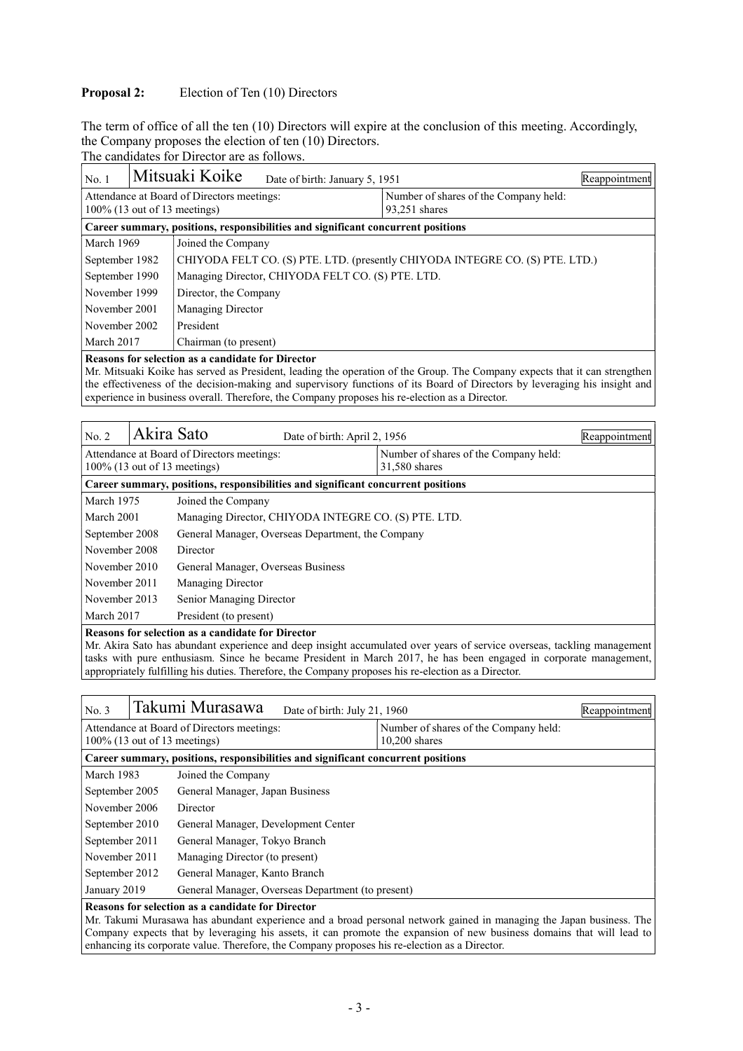## **Proposal 2:** Election of Ten (10) Directors

The term of office of all the ten (10) Directors will expire at the conclusion of this meeting. Accordingly, the Company proposes the election of ten (10) Directors.

The candidates for Director are as follows.

| No.1                                                                          |                                                                                  | Mitsuaki Koike<br>Date of birth: January 5, 1951                             |  |                                                        | Reappointment |  |
|-------------------------------------------------------------------------------|----------------------------------------------------------------------------------|------------------------------------------------------------------------------|--|--------------------------------------------------------|---------------|--|
| Attendance at Board of Directors meetings:<br>$100\%$ (13 out of 13 meetings) |                                                                                  |                                                                              |  | Number of shares of the Company held:<br>93,251 shares |               |  |
|                                                                               | Career summary, positions, responsibilities and significant concurrent positions |                                                                              |  |                                                        |               |  |
| March 1969                                                                    |                                                                                  | Joined the Company                                                           |  |                                                        |               |  |
| September 1982                                                                |                                                                                  | CHIYODA FELT CO. (S) PTE. LTD. (presently CHIYODA INTEGRE CO. (S) PTE. LTD.) |  |                                                        |               |  |
| September 1990                                                                |                                                                                  | Managing Director, CHIYODA FELT CO. (S) PTE. LTD.                            |  |                                                        |               |  |
| November 1999                                                                 |                                                                                  | Director, the Company                                                        |  |                                                        |               |  |
| November 2001<br>Managing Director                                            |                                                                                  |                                                                              |  |                                                        |               |  |
| November 2002<br>President                                                    |                                                                                  |                                                                              |  |                                                        |               |  |
| March 2017<br>Chairman (to present)                                           |                                                                                  |                                                                              |  |                                                        |               |  |
|                                                                               |                                                                                  |                                                                              |  |                                                        |               |  |

**Reasons for selection as a candidate for Director** 

Mr. Mitsuaki Koike has served as President, leading the operation of the Group. The Company expects that it can strengthen the effectiveness of the decision-making and supervisory functions of its Board of Directors by leveraging his insight and experience in business overall. Therefore, the Company proposes his re-election as a Director.

| No. 2                                                                                                                                                                        | Akira Sato                                                                       | Date of birth: April 2, 1956                         |                                       | Reappointment |  |  |
|------------------------------------------------------------------------------------------------------------------------------------------------------------------------------|----------------------------------------------------------------------------------|------------------------------------------------------|---------------------------------------|---------------|--|--|
|                                                                                                                                                                              |                                                                                  | Attendance at Board of Directors meetings:           | Number of shares of the Company held: |               |  |  |
|                                                                                                                                                                              |                                                                                  | $100\%$ (13 out of 13 meetings)                      | 31,580 shares                         |               |  |  |
|                                                                                                                                                                              | Career summary, positions, responsibilities and significant concurrent positions |                                                      |                                       |               |  |  |
| March 1975                                                                                                                                                                   |                                                                                  | Joined the Company                                   |                                       |               |  |  |
| March 2001                                                                                                                                                                   |                                                                                  | Managing Director, CHIYODA INTEGRE CO. (S) PTE. LTD. |                                       |               |  |  |
| September 2008                                                                                                                                                               |                                                                                  | General Manager, Overseas Department, the Company    |                                       |               |  |  |
| November 2008                                                                                                                                                                |                                                                                  | Director                                             |                                       |               |  |  |
| November 2010                                                                                                                                                                |                                                                                  | General Manager, Overseas Business                   |                                       |               |  |  |
| November 2011                                                                                                                                                                |                                                                                  | <b>Managing Director</b>                             |                                       |               |  |  |
| November 2013                                                                                                                                                                |                                                                                  | Senior Managing Director                             |                                       |               |  |  |
| March 2017<br>President (to present)                                                                                                                                         |                                                                                  |                                                      |                                       |               |  |  |
| Reasons for selection as a candidate for Director<br>Mr. Alira Sato has abundant experience and deep insight accumulated over vears of service overseas, tackling management |                                                                                  |                                                      |                                       |               |  |  |

Mr. Akira Sato has abundant experience and deep insight accumulated over years of service overseas, tackling management tasks with pure enthusiasm. Since he became President in March 2017, he has been engaged in corporate management, appropriately fulfilling his duties. Therefore, the Company proposes his re-election as a Director.

| No. 3                                                                                                                                                                                                                  |                                                                   | Takumi Murasawa<br>Date of birth: July 21, 1960 |                                       | Reappointment |  |
|------------------------------------------------------------------------------------------------------------------------------------------------------------------------------------------------------------------------|-------------------------------------------------------------------|-------------------------------------------------|---------------------------------------|---------------|--|
| Attendance at Board of Directors meetings:<br>$100\%$ (13 out of 13 meetings)<br>$10.200$ shares                                                                                                                       |                                                                   |                                                 | Number of shares of the Company held: |               |  |
| Career summary, positions, responsibilities and significant concurrent positions                                                                                                                                       |                                                                   |                                                 |                                       |               |  |
| March 1983                                                                                                                                                                                                             |                                                                   | Joined the Company                              |                                       |               |  |
| September 2005                                                                                                                                                                                                         |                                                                   | General Manager, Japan Business                 |                                       |               |  |
| November 2006                                                                                                                                                                                                          |                                                                   | Director                                        |                                       |               |  |
| September 2010                                                                                                                                                                                                         |                                                                   | General Manager, Development Center             |                                       |               |  |
| September 2011                                                                                                                                                                                                         |                                                                   | General Manager, Tokyo Branch                   |                                       |               |  |
| November 2011                                                                                                                                                                                                          |                                                                   | Managing Director (to present)                  |                                       |               |  |
| September 2012<br>General Manager, Kanto Branch                                                                                                                                                                        |                                                                   |                                                 |                                       |               |  |
|                                                                                                                                                                                                                        | January 2019<br>General Manager, Overseas Department (to present) |                                                 |                                       |               |  |
| Reasons for selection as a candidate for Director<br>the contract of the contract of the contract of the contract of the contract of the contract of the contract of<br>$\mathbf{r}$ and $\mathbf{r}$ and $\mathbf{r}$ |                                                                   |                                                 |                                       |               |  |

Mr. Takumi Murasawa has abundant experience and a broad personal network gained in managing the Japan business. The Company expects that by leveraging his assets, it can promote the expansion of new business domains that will lead to enhancing its corporate value. Therefore, the Company proposes his re-election as a Director.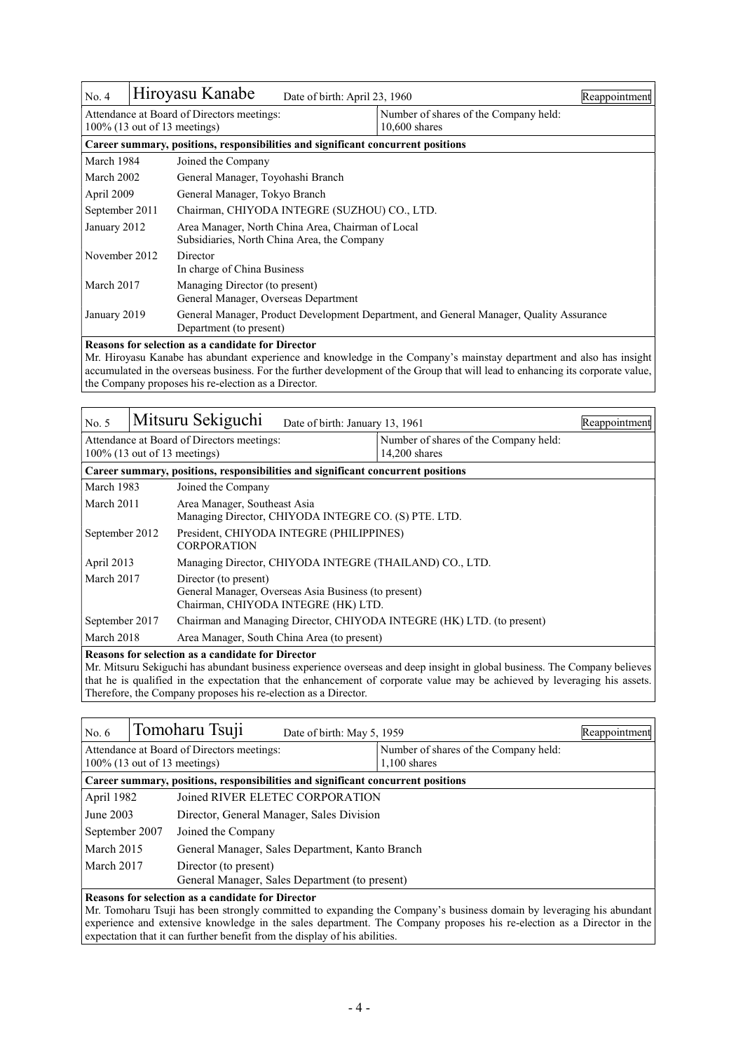| No. 4                                                                         |                                                                                  | Hiroyasu Kanabe                                                                                                    | Date of birth: April 23, 1960                            |  | Reappointment |  |  |
|-------------------------------------------------------------------------------|----------------------------------------------------------------------------------|--------------------------------------------------------------------------------------------------------------------|----------------------------------------------------------|--|---------------|--|--|
| Attendance at Board of Directors meetings:<br>$100\%$ (13 out of 13 meetings) |                                                                                  |                                                                                                                    | Number of shares of the Company held:<br>$10,600$ shares |  |               |  |  |
|                                                                               | Career summary, positions, responsibilities and significant concurrent positions |                                                                                                                    |                                                          |  |               |  |  |
| March 1984                                                                    |                                                                                  | Joined the Company                                                                                                 |                                                          |  |               |  |  |
| March 2002                                                                    |                                                                                  | General Manager, Toyohashi Branch                                                                                  |                                                          |  |               |  |  |
| April 2009                                                                    |                                                                                  | General Manager, Tokyo Branch                                                                                      |                                                          |  |               |  |  |
| September 2011                                                                |                                                                                  | Chairman, CHIYODA INTEGRE (SUZHOU) CO., LTD.                                                                       |                                                          |  |               |  |  |
| January 2012                                                                  |                                                                                  | Area Manager, North China Area, Chairman of Local<br>Subsidiaries, North China Area, the Company                   |                                                          |  |               |  |  |
| November 2012                                                                 |                                                                                  | Director<br>In charge of China Business                                                                            |                                                          |  |               |  |  |
| March 2017                                                                    |                                                                                  | Managing Director (to present)<br>General Manager, Overseas Department                                             |                                                          |  |               |  |  |
| January 2019                                                                  |                                                                                  | General Manager, Product Development Department, and General Manager, Quality Assurance<br>Department (to present) |                                                          |  |               |  |  |

#### **Reasons for selection as a candidate for Director**

Mr. Hiroyasu Kanabe has abundant experience and knowledge in the Company's mainstay department and also has insight accumulated in the overseas business. For the further development of the Group that will lead to enhancing its corporate value, the Company proposes his re-election as a Director.

| No. 5                                                                                                                                                                                                                                                                                                                                                     |                                                                                  | Mitsuru Sekiguchi<br>Date of birth: January 13, 1961                                                                 |                                                      | Reappointment |  |  |
|-----------------------------------------------------------------------------------------------------------------------------------------------------------------------------------------------------------------------------------------------------------------------------------------------------------------------------------------------------------|----------------------------------------------------------------------------------|----------------------------------------------------------------------------------------------------------------------|------------------------------------------------------|---------------|--|--|
| Attendance at Board of Directors meetings:<br>Number of shares of the Company held:<br>$100\%$ (13 out of 13 meetings)<br>$14.200$ shares                                                                                                                                                                                                                 |                                                                                  |                                                                                                                      |                                                      |               |  |  |
|                                                                                                                                                                                                                                                                                                                                                           | Career summary, positions, responsibilities and significant concurrent positions |                                                                                                                      |                                                      |               |  |  |
| March 1983                                                                                                                                                                                                                                                                                                                                                |                                                                                  | Joined the Company                                                                                                   |                                                      |               |  |  |
| March 2011                                                                                                                                                                                                                                                                                                                                                |                                                                                  | Area Manager, Southeast Asia                                                                                         | Managing Director, CHIYODA INTEGRE CO. (S) PTE. LTD. |               |  |  |
| September 2012                                                                                                                                                                                                                                                                                                                                            |                                                                                  | President, CHIYODA INTEGRE (PHILIPPINES)<br><b>CORPORATION</b>                                                       |                                                      |               |  |  |
| April 2013                                                                                                                                                                                                                                                                                                                                                |                                                                                  | Managing Director, CHIYODA INTEGRE (THAILAND) CO., LTD.                                                              |                                                      |               |  |  |
| March 2017                                                                                                                                                                                                                                                                                                                                                |                                                                                  | Director (to present)<br>General Manager, Overseas Asia Business (to present)<br>Chairman, CHIYODA INTEGRE (HK) LTD. |                                                      |               |  |  |
| September 2017<br>Chairman and Managing Director, CHIYODA INTEGRE (HK) LTD. (to present)                                                                                                                                                                                                                                                                  |                                                                                  |                                                                                                                      |                                                      |               |  |  |
|                                                                                                                                                                                                                                                                                                                                                           | March 2018<br>Area Manager, South China Area (to present)                        |                                                                                                                      |                                                      |               |  |  |
| Reasons for selection as a candidate for Director<br>stranden er en som en stad de stad talente tre de te de te te stad en som en terme en sted te stad se stad en<br>$M_{\rm H}$ $M_{\rm H}$ $M_{\rm H}$ $M_{\rm H}$ $M_{\rm H}$ $M_{\rm H}$ $M_{\rm H}$ $M_{\rm H}$ $M_{\rm H}$ $M_{\rm H}$ $M_{\rm H}$ $M_{\rm H}$ $M_{\rm H}$ $M_{\rm H}$ $M_{\rm H}$ |                                                                                  |                                                                                                                      |                                                      |               |  |  |

Mr. Mitsuru Sekiguchi has abundant business experience overseas and deep insight in global business. The Company believes that he is qualified in the expectation that the enhancement of corporate value may be achieved by leveraging his assets. Therefore, the Company proposes his re-election as a Director.

| No. $6$                                                                                                                                                                                                                                                                                |  | Tomoharu Tsuji<br>Date of birth: May 5, 1959                            |                                                         | Reappointment |  |
|----------------------------------------------------------------------------------------------------------------------------------------------------------------------------------------------------------------------------------------------------------------------------------------|--|-------------------------------------------------------------------------|---------------------------------------------------------|---------------|--|
| Attendance at Board of Directors meetings:<br>$100\%$ (13 out of 13 meetings)                                                                                                                                                                                                          |  |                                                                         | Number of shares of the Company held:<br>$1.100$ shares |               |  |
| Career summary, positions, responsibilities and significant concurrent positions                                                                                                                                                                                                       |  |                                                                         |                                                         |               |  |
| April 1982                                                                                                                                                                                                                                                                             |  | Joined RIVER ELETEC CORPORATION                                         |                                                         |               |  |
| June 2003                                                                                                                                                                                                                                                                              |  | Director, General Manager, Sales Division                               |                                                         |               |  |
| September 2007                                                                                                                                                                                                                                                                         |  | Joined the Company                                                      |                                                         |               |  |
| March 2015                                                                                                                                                                                                                                                                             |  | General Manager, Sales Department, Kanto Branch                         |                                                         |               |  |
| March 2017                                                                                                                                                                                                                                                                             |  | Director (to present)<br>General Manager, Sales Department (to present) |                                                         |               |  |
| Reasons for selection as a candidate for Director<br>$\mathbf{M}$ . The set of the set of the set of the set of the set of the set of the set of the set of the set of the set of the set of the set of the set of the set of the set of the set of the set of the set of the set of t |  |                                                                         |                                                         |               |  |

Mr. Tomoharu Tsuji has been strongly committed to expanding the Company's business domain by leveraging his abundant experience and extensive knowledge in the sales department. The Company proposes his re-election as a Director in the expectation that it can further benefit from the display of his abilities.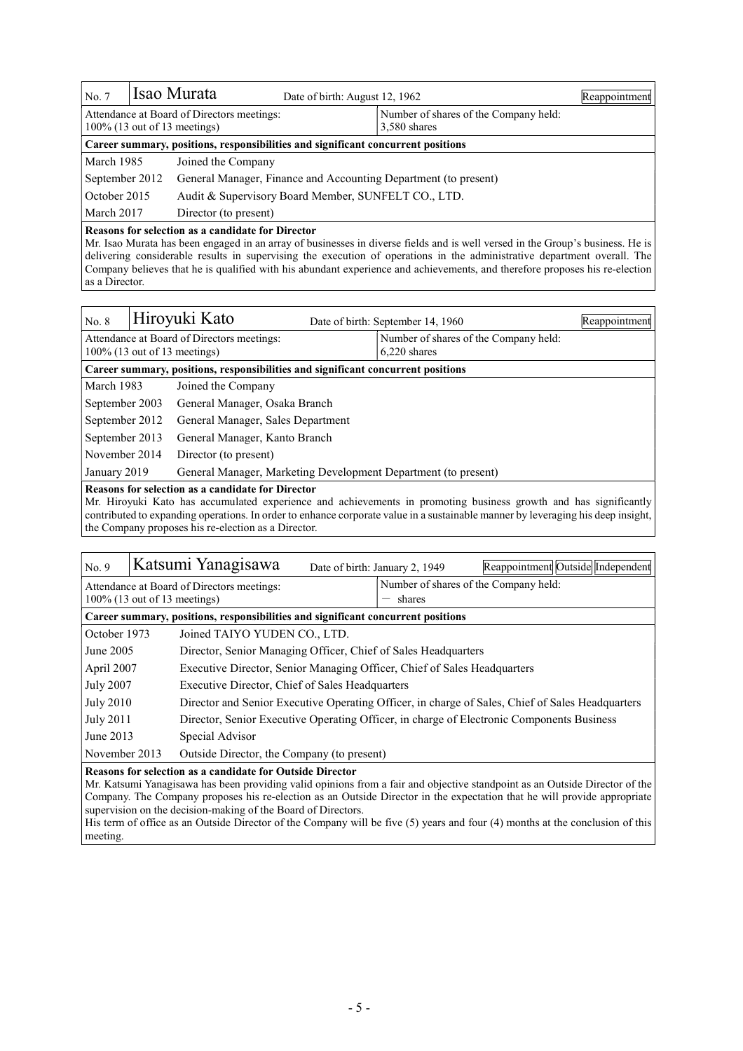| $\overline{\rm No. 7}$                                                        |                                                                                   | Isao Murata                                                                      | Date of birth: August 12, 1962 |                                                         | Reappointment |
|-------------------------------------------------------------------------------|-----------------------------------------------------------------------------------|----------------------------------------------------------------------------------|--------------------------------|---------------------------------------------------------|---------------|
| Attendance at Board of Directors meetings:<br>$100\%$ (13 out of 13 meetings) |                                                                                   |                                                                                  |                                | Number of shares of the Company held:<br>$3,580$ shares |               |
|                                                                               |                                                                                   | Career summary, positions, responsibilities and significant concurrent positions |                                |                                                         |               |
| March 1985                                                                    |                                                                                   | Joined the Company                                                               |                                |                                                         |               |
|                                                                               | September 2012<br>General Manager, Finance and Accounting Department (to present) |                                                                                  |                                |                                                         |               |
|                                                                               | $\sim$ October 2015<br>Audit & Supervisory Board Member, SUNFELT CO., LTD.        |                                                                                  |                                |                                                         |               |
| March 2017<br>Director (to present)                                           |                                                                                   |                                                                                  |                                |                                                         |               |
|                                                                               |                                                                                   |                                                                                  |                                |                                                         |               |

### **Reasons for selection as a candidate for Director**

Mr. Isao Murata has been engaged in an array of businesses in diverse fields and is well versed in the Group's business. He is delivering considerable results in supervising the execution of operations in the administrative department overall. The Company believes that he is qualified with his abundant experience and achievements, and therefore proposes his re-election as a Director.

| No. 8                                                                          |                                                                                  | Hiroyuki Kato                     | Date of birth: September 14, 1960                     | Reappointment |  |  |
|--------------------------------------------------------------------------------|----------------------------------------------------------------------------------|-----------------------------------|-------------------------------------------------------|---------------|--|--|
| Attendance at Board of Directors meetings:<br>$100\%$ (13 out of 13 meetings)  |                                                                                  |                                   | Number of shares of the Company held:<br>6.220 shares |               |  |  |
|                                                                                | Career summary, positions, responsibilities and significant concurrent positions |                                   |                                                       |               |  |  |
| March 1983                                                                     |                                                                                  | Joined the Company                |                                                       |               |  |  |
| September 2003                                                                 |                                                                                  | General Manager, Osaka Branch     |                                                       |               |  |  |
| September 2012                                                                 |                                                                                  | General Manager, Sales Department |                                                       |               |  |  |
| September 2013<br>General Manager, Kanto Branch                                |                                                                                  |                                   |                                                       |               |  |  |
| November 2014                                                                  |                                                                                  | Director (to present)             |                                                       |               |  |  |
| General Manager, Marketing Development Department (to present)<br>January 2019 |                                                                                  |                                   |                                                       |               |  |  |
| Reasons for selection as a candidate for Director                              |                                                                                  |                                   |                                                       |               |  |  |

Mr. Hiroyuki Kato has accumulated experience and achievements in promoting business growth and has significantly contributed to expanding operations. In order to enhance corporate value in a sustainable manner by leveraging his deep insight, the Company proposes his re-election as a Director.

| No. 9                                                                                                                                                                                           |  | Katsumi Yanagisawa                                                               |  | Date of birth: January 2, 1949        | Reappointment Outside Independent                                                                |
|-------------------------------------------------------------------------------------------------------------------------------------------------------------------------------------------------|--|----------------------------------------------------------------------------------|--|---------------------------------------|--------------------------------------------------------------------------------------------------|
|                                                                                                                                                                                                 |  | Attendance at Board of Directors meetings:                                       |  | Number of shares of the Company held: |                                                                                                  |
|                                                                                                                                                                                                 |  | $100\%$ (13 out of 13 meetings)                                                  |  | shares                                |                                                                                                  |
|                                                                                                                                                                                                 |  | Career summary, positions, responsibilities and significant concurrent positions |  |                                       |                                                                                                  |
| October 1973                                                                                                                                                                                    |  | Joined TAIYO YUDEN CO., LTD.                                                     |  |                                       |                                                                                                  |
| June 2005                                                                                                                                                                                       |  | Director, Senior Managing Officer, Chief of Sales Headquarters                   |  |                                       |                                                                                                  |
| April 2007                                                                                                                                                                                      |  | Executive Director, Senior Managing Officer, Chief of Sales Headquarters         |  |                                       |                                                                                                  |
| <b>July 2007</b>                                                                                                                                                                                |  | Executive Director, Chief of Sales Headquarters                                  |  |                                       |                                                                                                  |
| <b>July 2010</b>                                                                                                                                                                                |  |                                                                                  |  |                                       | Director and Senior Executive Operating Officer, in charge of Sales, Chief of Sales Headquarters |
| <b>July 2011</b>                                                                                                                                                                                |  |                                                                                  |  |                                       | Director, Senior Executive Operating Officer, in charge of Electronic Components Business        |
| June 2013                                                                                                                                                                                       |  | Special Advisor                                                                  |  |                                       |                                                                                                  |
| November 2013<br>Outside Director, the Company (to present)                                                                                                                                     |  |                                                                                  |  |                                       |                                                                                                  |
| <b>Reasons for selection as a candidate for Outside Director</b><br>Mr. Katsumi Yanagisawa has been providing valid opinions from a fair and objective standpoint as an Outside Director of the |  |                                                                                  |  |                                       |                                                                                                  |

Company. The Company proposes his re-election as an Outside Director in the expectation that he will provide appropriate supervision on the decision-making of the Board of Directors.

His term of office as an Outside Director of the Company will be five (5) years and four (4) months at the conclusion of this meeting.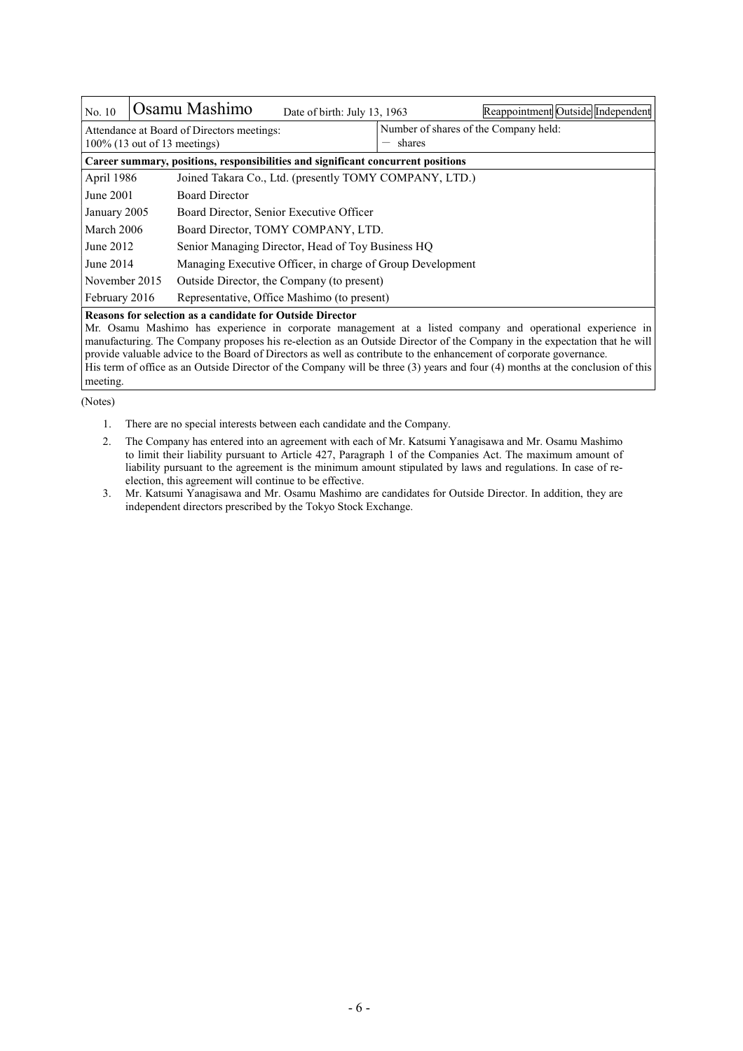| No. 10                                                                                                                                                                                                                                                                                                                                                         |  | Osamu Mashimo                                                                    | Date of birth: July 13, 1963                           |                                       | Reappointment Outside Independent |
|----------------------------------------------------------------------------------------------------------------------------------------------------------------------------------------------------------------------------------------------------------------------------------------------------------------------------------------------------------------|--|----------------------------------------------------------------------------------|--------------------------------------------------------|---------------------------------------|-----------------------------------|
|                                                                                                                                                                                                                                                                                                                                                                |  | Attendance at Board of Directors meetings:                                       |                                                        | Number of shares of the Company held: |                                   |
|                                                                                                                                                                                                                                                                                                                                                                |  | $100\%$ (13 out of 13 meetings)                                                  |                                                        | shares                                |                                   |
|                                                                                                                                                                                                                                                                                                                                                                |  | Career summary, positions, responsibilities and significant concurrent positions |                                                        |                                       |                                   |
| April 1986                                                                                                                                                                                                                                                                                                                                                     |  |                                                                                  | Joined Takara Co., Ltd. (presently TOMY COMPANY, LTD.) |                                       |                                   |
| June 2001                                                                                                                                                                                                                                                                                                                                                      |  | <b>Board Director</b>                                                            |                                                        |                                       |                                   |
| January 2005                                                                                                                                                                                                                                                                                                                                                   |  | Board Director, Senior Executive Officer                                         |                                                        |                                       |                                   |
| March 2006                                                                                                                                                                                                                                                                                                                                                     |  | Board Director, TOMY COMPANY, LTD.                                               |                                                        |                                       |                                   |
| June 2012                                                                                                                                                                                                                                                                                                                                                      |  | Senior Managing Director, Head of Toy Business HQ                                |                                                        |                                       |                                   |
| June 2014                                                                                                                                                                                                                                                                                                                                                      |  | Managing Executive Officer, in charge of Group Development                       |                                                        |                                       |                                   |
| November 2015                                                                                                                                                                                                                                                                                                                                                  |  |                                                                                  | Outside Director, the Company (to present)             |                                       |                                   |
| February 2016                                                                                                                                                                                                                                                                                                                                                  |  |                                                                                  | Representative, Office Mashimo (to present)            |                                       |                                   |
| <b>Reasons for selection as a candidate for Outside Director</b>                                                                                                                                                                                                                                                                                               |  |                                                                                  |                                                        |                                       |                                   |
| Mr. Osamu Mashimo has experience in corporate management at a listed company and operational experience in<br>manufacturing. The Company proposes his re-election as an Outside Director of the Company in the expectation that he will<br>provide valuable advice to the Board of Directors as well as contribute to the enhancement of corporate governance. |  |                                                                                  |                                                        |                                       |                                   |

His term of office as an Outside Director of the Company will be three (3) years and four (4) months at the conclusion of this meeting.

(Notes)

1. There are no special interests between each candidate and the Company.

2. The Company has entered into an agreement with each of Mr. Katsumi Yanagisawa and Mr. Osamu Mashimo to limit their liability pursuant to Article 427, Paragraph 1 of the Companies Act. The maximum amount of liability pursuant to the agreement is the minimum amount stipulated by laws and regulations. In case of reelection, this agreement will continue to be effective.

3. Mr. Katsumi Yanagisawa and Mr. Osamu Mashimo are candidates for Outside Director. In addition, they are independent directors prescribed by the Tokyo Stock Exchange.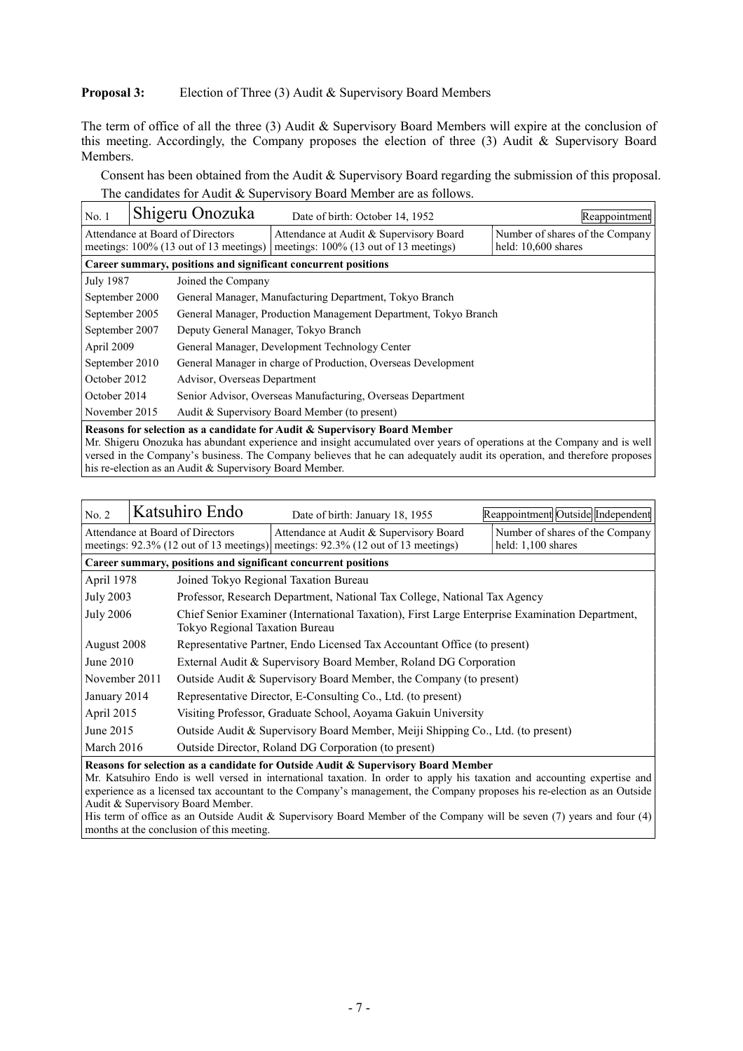## **Proposal 3:** Election of Three (3) Audit & Supervisory Board Members

The term of office of all the three (3) Audit & Supervisory Board Members will expire at the conclusion of this meeting. Accordingly, the Company proposes the election of three (3) Audit & Supervisory Board Members.

Consent has been obtained from the Audit & Supervisory Board regarding the submission of this proposal. The candidates for Audit & Supervisory Board Member are as follows.

| No. 1                                                                                                                                                                                                                                                                                                                         |  | Shigeru Onozuka                           | Date of birth: October 14, 1952                                 | Reappointment                   |  |
|-------------------------------------------------------------------------------------------------------------------------------------------------------------------------------------------------------------------------------------------------------------------------------------------------------------------------------|--|-------------------------------------------|-----------------------------------------------------------------|---------------------------------|--|
|                                                                                                                                                                                                                                                                                                                               |  | Attendance at Board of Directors          | Attendance at Audit & Supervisory Board                         | Number of shares of the Company |  |
|                                                                                                                                                                                                                                                                                                                               |  | meetings: $100\%$ (13 out of 13 meetings) | meetings: 100% (13 out of 13 meetings)                          | held: $10,600$ shares           |  |
|                                                                                                                                                                                                                                                                                                                               |  |                                           | Career summary, positions and significant concurrent positions  |                                 |  |
| July 1987                                                                                                                                                                                                                                                                                                                     |  | Joined the Company                        |                                                                 |                                 |  |
| September 2000                                                                                                                                                                                                                                                                                                                |  |                                           | General Manager, Manufacturing Department, Tokyo Branch         |                                 |  |
| September 2005                                                                                                                                                                                                                                                                                                                |  |                                           | General Manager, Production Management Department, Tokyo Branch |                                 |  |
| September 2007                                                                                                                                                                                                                                                                                                                |  | Deputy General Manager, Tokyo Branch      |                                                                 |                                 |  |
| April 2009                                                                                                                                                                                                                                                                                                                    |  |                                           | General Manager, Development Technology Center                  |                                 |  |
| September 2010                                                                                                                                                                                                                                                                                                                |  |                                           | General Manager in charge of Production, Overseas Development   |                                 |  |
| October 2012                                                                                                                                                                                                                                                                                                                  |  | Advisor, Overseas Department              |                                                                 |                                 |  |
| October 2014                                                                                                                                                                                                                                                                                                                  |  |                                           | Senior Advisor, Overseas Manufacturing, Overseas Department     |                                 |  |
| November 2015                                                                                                                                                                                                                                                                                                                 |  |                                           | Audit & Supervisory Board Member (to present)                   |                                 |  |
| Reasons for selection as a candidate for Audit & Supervisory Board Member<br>Mr. Shigeru Onozuka has abundant experience and insight accumulated over years of operations at the Company and is well<br>المستحقق والمنافس والمستحير والمستحقق والمستحير والمستحير والمستحير والمستحير والمستحير والمتعارض والمتعارض والمتعارض |  |                                           |                                                                 |                                 |  |

versed in the Company's business. The Company believes that he can adequately audit its operation, and therefore proposes his re-election as an Audit & Supervisory Board Member.

| No. 2                                                                                                                                                                                                         |  | Katsuhiro Endo                 | Date of birth: January 18, 1955                                                                                                  | Reappointment Outside Independent                     |  |  |  |
|---------------------------------------------------------------------------------------------------------------------------------------------------------------------------------------------------------------|--|--------------------------------|----------------------------------------------------------------------------------------------------------------------------------|-------------------------------------------------------|--|--|--|
| Attendance at Board of Directors                                                                                                                                                                              |  |                                | Attendance at Audit & Supervisory Board<br>meetings: $92.3\%$ (12 out of 13 meetings) meetings: $92.3\%$ (12 out of 13 meetings) | Number of shares of the Company<br>held: 1,100 shares |  |  |  |
| Career summary, positions and significant concurrent positions                                                                                                                                                |  |                                |                                                                                                                                  |                                                       |  |  |  |
| April 1978                                                                                                                                                                                                    |  |                                | Joined Tokyo Regional Taxation Bureau                                                                                            |                                                       |  |  |  |
| <b>July 2003</b>                                                                                                                                                                                              |  |                                | Professor, Research Department, National Tax College, National Tax Agency                                                        |                                                       |  |  |  |
| <b>July 2006</b>                                                                                                                                                                                              |  | Tokyo Regional Taxation Bureau | Chief Senior Examiner (International Taxation), First Large Enterprise Examination Department,                                   |                                                       |  |  |  |
| August 2008                                                                                                                                                                                                   |  |                                | Representative Partner, Endo Licensed Tax Accountant Office (to present)                                                         |                                                       |  |  |  |
| June 2010                                                                                                                                                                                                     |  |                                | External Audit & Supervisory Board Member, Roland DG Corporation                                                                 |                                                       |  |  |  |
| November 2011                                                                                                                                                                                                 |  |                                | Outside Audit & Supervisory Board Member, the Company (to present)                                                               |                                                       |  |  |  |
| January 2014                                                                                                                                                                                                  |  |                                | Representative Director, E-Consulting Co., Ltd. (to present)                                                                     |                                                       |  |  |  |
| April 2015                                                                                                                                                                                                    |  |                                | Visiting Professor, Graduate School, Aoyama Gakuin University                                                                    |                                                       |  |  |  |
| June 2015                                                                                                                                                                                                     |  |                                | Outside Audit & Supervisory Board Member, Meiji Shipping Co., Ltd. (to present)                                                  |                                                       |  |  |  |
| March 2016                                                                                                                                                                                                    |  |                                | Outside Director, Roland DG Corporation (to present)                                                                             |                                                       |  |  |  |
| Reasons for selection as a candidate for Outside Audit & Supervisory Board Member<br>Mr. Katsuhiro Endo is well versed in international taxation. In order to apply his taxation and accounting expertise and |  |                                |                                                                                                                                  |                                                       |  |  |  |

experience as a licensed tax accountant to the Company's management, the Company proposes his re-election as an Outside Audit & Supervisory Board Member.

His term of office as an Outside Audit & Supervisory Board Member of the Company will be seven (7) years and four (4) months at the conclusion of this meeting.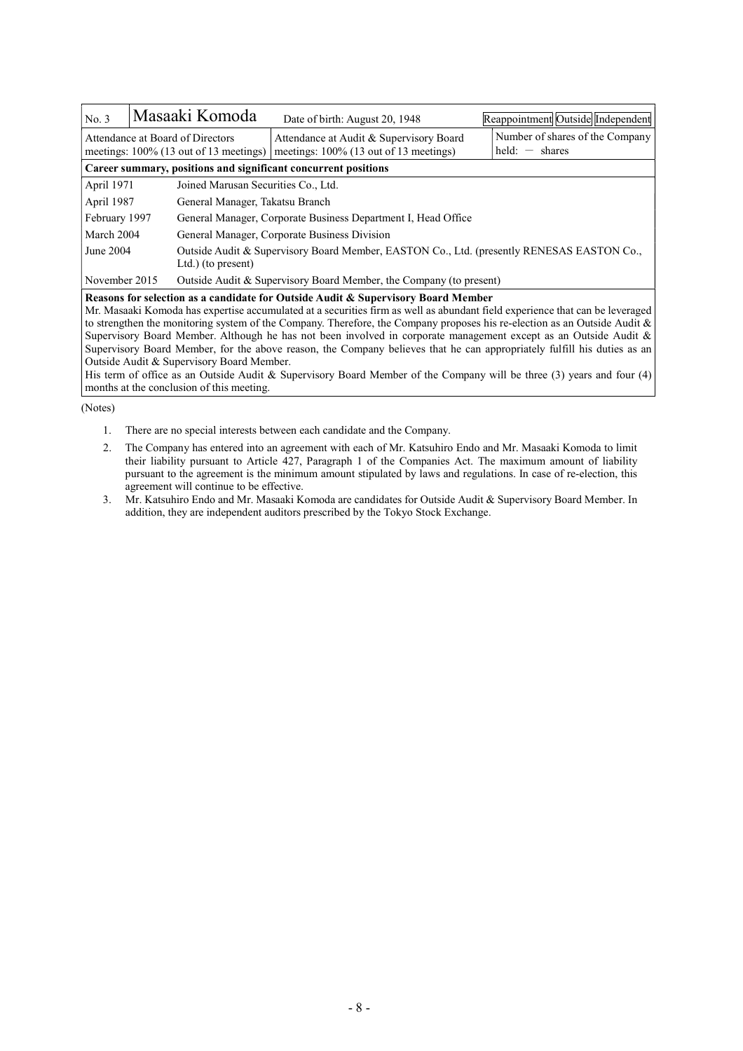| No. 3                                                                                                                        |                                                                                                                              | Masaaki Komoda                                                                                                  | Date of birth: August 20, 1948                                                       | Reappointment Outside Independent                   |  |  |  |
|------------------------------------------------------------------------------------------------------------------------------|------------------------------------------------------------------------------------------------------------------------------|-----------------------------------------------------------------------------------------------------------------|--------------------------------------------------------------------------------------|-----------------------------------------------------|--|--|--|
| Attendance at Board of Directors<br>meetings: 100% (13 out of 13 meetings)                                                   |                                                                                                                              |                                                                                                                 | Attendance at Audit & Supervisory Board<br>meetings: $100\%$ (13 out of 13 meetings) | Number of shares of the Company<br>$held: - shares$ |  |  |  |
| Career summary, positions and significant concurrent positions                                                               |                                                                                                                              |                                                                                                                 |                                                                                      |                                                     |  |  |  |
| April 1971                                                                                                                   |                                                                                                                              | Joined Marusan Securities Co., Ltd.                                                                             |                                                                                      |                                                     |  |  |  |
| April 1987                                                                                                                   |                                                                                                                              | General Manager, Takatsu Branch                                                                                 |                                                                                      |                                                     |  |  |  |
| February 1997                                                                                                                |                                                                                                                              | General Manager, Corporate Business Department I, Head Office                                                   |                                                                                      |                                                     |  |  |  |
| March 2004                                                                                                                   |                                                                                                                              | General Manager, Corporate Business Division                                                                    |                                                                                      |                                                     |  |  |  |
| June 2004                                                                                                                    |                                                                                                                              | Outside Audit & Supervisory Board Member, EASTON Co., Ltd. (presently RENESAS EASTON Co.,<br>Ltd.) (to present) |                                                                                      |                                                     |  |  |  |
| November 2015                                                                                                                |                                                                                                                              |                                                                                                                 | Outside Audit & Supervisory Board Member, the Company (to present)                   |                                                     |  |  |  |
| Reasons for selection as a candidate for Outside Audit & Supervisory Board Member                                            |                                                                                                                              |                                                                                                                 |                                                                                      |                                                     |  |  |  |
| Mr. Masaaki Komoda has expertise accumulated at a securities firm as well as abundant field experience that can be leveraged |                                                                                                                              |                                                                                                                 |                                                                                      |                                                     |  |  |  |
|                                                                                                                              | to strengthen the monitoring system of the Company. Therefore, the Company proposes his re-election as an Outside Audit $\&$ |                                                                                                                 |                                                                                      |                                                     |  |  |  |

Supervisory Board Member. Although he has not been involved in corporate management except as an Outside Audit & Supervisory Board Member, for the above reason, the Company believes that he can appropriately fulfill his duties as an Outside Audit & Supervisory Board Member.

His term of office as an Outside Audit & Supervisory Board Member of the Company will be three (3) years and four (4) months at the conclusion of this meeting.

#### (Notes)

- 1. There are no special interests between each candidate and the Company.
- 2. The Company has entered into an agreement with each of Mr. Katsuhiro Endo and Mr. Masaaki Komoda to limit their liability pursuant to Article 427, Paragraph 1 of the Companies Act. The maximum amount of liability pursuant to the agreement is the minimum amount stipulated by laws and regulations. In case of re-election, this agreement will continue to be effective.
- 3. Mr. Katsuhiro Endo and Mr. Masaaki Komoda are candidates for Outside Audit & Supervisory Board Member. In addition, they are independent auditors prescribed by the Tokyo Stock Exchange.